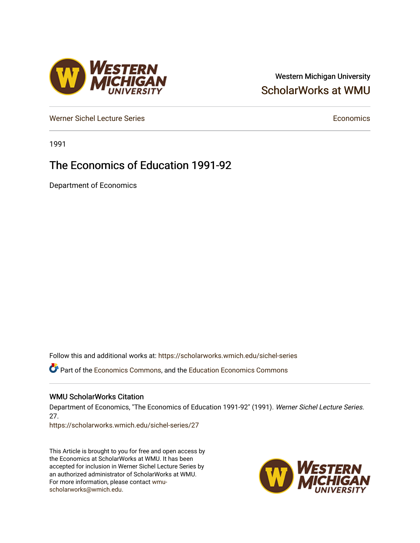# Western Michigan University [ScholarWorks at WMU](https://scholarworks.wmich.edu/)

[Werner Sichel Lecture Series](https://scholarworks.wmich.edu/sichel-series) **Economics** [Economics](https://scholarworks.wmich.edu/economics) **Economics** 

1991

# The Economics of Education 1991-92

Department of Economics

Follow this and additional works at: [https://scholarworks.wmich.edu/sichel-series](https://scholarworks.wmich.edu/sichel-series?utm_source=scholarworks.wmich.edu%2Fsichel-series%2F27&utm_medium=PDF&utm_campaign=PDFCoverPages) 

Part of the [Economics Commons](http://network.bepress.com/hgg/discipline/340?utm_source=scholarworks.wmich.edu%2Fsichel-series%2F27&utm_medium=PDF&utm_campaign=PDFCoverPages), and the [Education Economics Commons](http://network.bepress.com/hgg/discipline/1262?utm_source=scholarworks.wmich.edu%2Fsichel-series%2F27&utm_medium=PDF&utm_campaign=PDFCoverPages) 

### WMU ScholarWorks Citation

Department of Economics, "The Economics of Education 1991-92" (1991). Werner Sichel Lecture Series. 27.

[https://scholarworks.wmich.edu/sichel-series/27](https://scholarworks.wmich.edu/sichel-series/27?utm_source=scholarworks.wmich.edu%2Fsichel-series%2F27&utm_medium=PDF&utm_campaign=PDFCoverPages)

This Article is brought to you for free and open access by the Economics at ScholarWorks at WMU. It has been accepted for inclusion in Werner Sichel Lecture Series by an authorized administrator of ScholarWorks at WMU. For more information, please contact [wmu](mailto:wmu-scholarworks@wmich.edu)[scholarworks@wmich.edu.](mailto:wmu-scholarworks@wmich.edu)



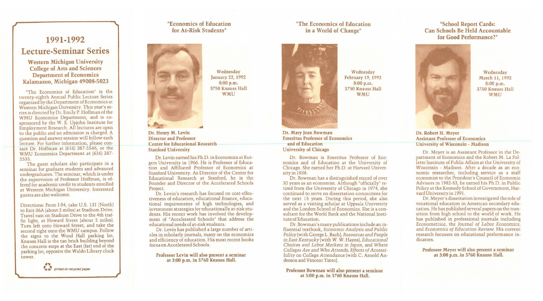# **1991-1992 Lecture-Seminar Series**

## Western Michigan University College of Arts and Sciences Department of Economics Kalamazoo, Michigan 49008-5023

"The Economics of Education" is the twenty-eighth Annual Public Lecture Series organized by the Department of Economics at Western Michigan University. This year's series is directed by Dr. Emily P. Hoffman of the WMU Economics Department, and is cosponsored by the W. E. Upjohn Institute for Employment Research. All lectures are open to the public and no admission is charged. A question and answer session will follow each lecture. For further information, please contact Dr. Hoffman at (616) 387-5546, or the WMU Economics Department at (616) 387- 5535.

The guest scholars also participate in a seminar for graduate students and advanced undergraduates. The seminar, which is under the supervision of Professor Hoffman, is offered for academic credit to students enrolled at Western Michigan University. Interested guests are also welcome.

Directions: From 1-94, take U.S. 131 (North) to Exit 36A (about 2 miles) at Stadium Drive. Travel east on Stadium Drive to the 4th traffic light, at Howard Street [about 2 miles). Tum left onto Howard Street, and take the second right onto the WMU campus. Follow the signs to the Wood Hall parking lot. Knauss Hall is the tan brick building beyond the concrete steps at the East (far) end of the parking lot, opposite the Waldo Library clock tower.

Dr. Bowman is Emeritus Professor of Economics and of Education at the University of Chicago. She earned her Ph.D. at Harvard University in 1938.



# "Economics of Education for At-Risk Students"



Wednesday January 22, 1992 8:00 p.m. 3750 Knauss Hall WMU

Dr. Henry M. Levin Director and Professor Center for Educational Research Stanford University

> Dr. Bowman's many publications include an influential textbook, *Economic Analysis and Public Policy* [with George L. Bach), *Resources and People in East Kentucky* (with W.W. Hayes), *Educational Choices and Labor Markets in Japan,* and *Where Colleges Are and Who Attends; Effects of Accessibility on College Attendance* (with C. Arnold Anderson and Vincent Tinto).

Dr. Levin earned his Ph.D. in Economics at Rutgers University in 1966. He is Professor of Education and Affiliated Professor of Economics at Stanford University. As Director of the Center for Educational Research at Stanford, he is the Founder and Director of the Accelerated Schools Project.

Wednesday March 11, 1992 8:00 p.m. 3750 Knauss Hall **WMU** 

Dr. Levin's research has focused on cost-effectiveness of education, educational finance, educational requirements of high technologies, and investment strategies for educationally at-risk students. His recent work has involved the development of "Accelerated Schools" that address the educational needs of at-risk students.

Dr. Levin has published a large number of articles in scholarly journals, many on the economics and efficiency of education. His most recent books focus on Accelerated Schools.

#### Professor Levin will also present a seminar at 3:00 p.m. in 3760 Knauss Hall.

# "The Economics of Education in a World of Change"



Wednesday February 19, 1992 8:00 p.m. 3750 Knauss Hall WMU

Dr. Mary Jean Bowman Emeritus Professor of Economics and of Education University of Chicago

Dr. Bowman has a distinguished record of over SO years as an economist. Although "officially" retired from the University of Chicago in 1974, she continued to serve on dissertation committees for the next 15 years. During this period, she also served as a visiting scholar at Uppsala University and the London School of Economics. She is a consultant for the World Bank and the National Institute of Education.

Professor Bowman will also present a seminar at 3:00 p.m. in 3760 Knauss Hall.

## "School Report Cards: Can Schools Be Held Accountable for Good Performance?"



#### Dr. Robert H. Meyer Assistant Professor of Economics University of Wisconsin - Madison

Dr. Meyer is an Assistant Professor in the Department of Economics and the Robert M. La Follette Institute of Public Affairs at the University of Wisconsin - Madison. After a decade as an economic researcher, including service as a staff economist to the President's Council of Economic Advisors in 1982-83, he earned his Ph.D. in Public Policy at the Kennedy School of Government, Harvard University in 1991.

Dr. Meyer's dissertation investigated the role of vocational education in American secondary education. He has published several papers on the transition from high school to the world of work. He has published in professional journals including *Econometrica,* the *Journal of Labor Economics,*  and *Economics of Education Review.* His current research focusses on educational performance indicators.

Professor Meyer will also present a seminar at 3:00 p.m. in 3760 Knauss Hall.